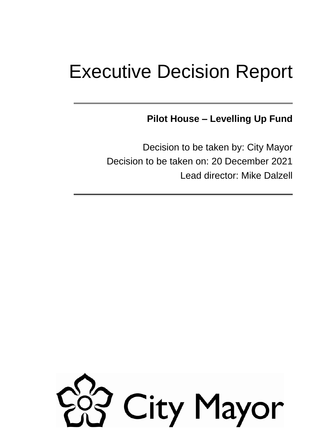# Executive Decision Report

**Pilot House – Levelling Up Fund**

Decision to be taken by: City Mayor Decision to be taken on: 20 December 2021 Lead director: Mike Dalzell

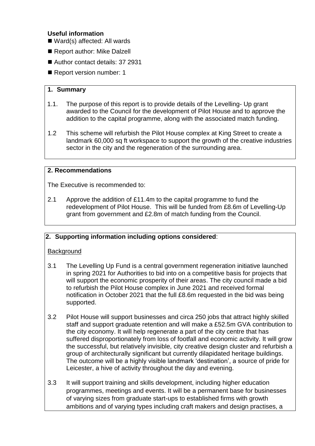#### **Useful information**

- Ward(s) affected: All wards
- Report author: Mike Dalzell
- Author contact details: 37 2931
- Report version number: 1

#### **1. Summary**

- 1.1. The purpose of this report is to provide details of the Levelling- Up grant awarded to the Council for the development of Pilot House and to approve the addition to the capital programme, along with the associated match funding.
- 1.2 This scheme will refurbish the Pilot House complex at King Street to create a landmark 60,000 sq ft workspace to support the growth of the creative industries sector in the city and the regeneration of the surrounding area.

#### **2. Recommendations**

The Executive is recommended to:

2.1 Approve the addition of £11.4m to the capital programme to fund the redevelopment of Pilot House. This will be funded from £8.6m of Levelling-Up grant from government and £2.8m of match funding from the Council.

## **2. Supporting information including options considered**:

#### **Background**

- 3.1 The Levelling Up Fund is a central government regeneration initiative launched in spring 2021 for Authorities to bid into on a competitive basis for projects that will support the economic prosperity of their areas. The city council made a bid to refurbish the Pilot House complex in June 2021 and received formal notification in October 2021 that the full £8.6m requested in the bid was being supported.
- 3.2 Pilot House will support businesses and circa 250 jobs that attract highly skilled staff and support graduate retention and will make a £52.5m GVA contribution to the city economy. It will help regenerate a part of the city centre that has suffered disproportionately from loss of footfall and economic activity. It will grow the successful, but relatively invisible, city creative design cluster and refurbish a group of architecturally significant but currently dilapidated heritage buildings. The outcome will be a highly visible landmark 'destination', a source of pride for Leicester, a hive of activity throughout the day and evening.
- 3.3 It will support training and skills development, including higher education programmes, meetings and events. It will be a permanent base for businesses of varying sizes from graduate start-ups to established firms with growth ambitions and of varying types including craft makers and design practises, a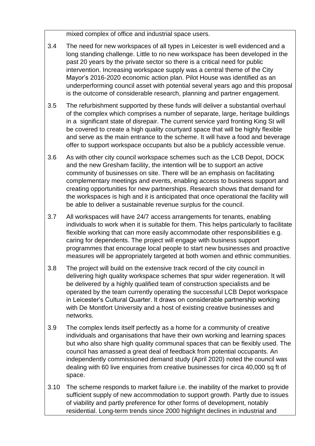mixed complex of office and industrial space users.

- 3.4 The need for new workspaces of all types in Leicester is well evidenced and a long standing challenge. Little to no new workspace has been developed in the past 20 years by the private sector so there is a critical need for public intervention. Increasing workspace supply was a central theme of the City Mayor's 2016-2020 economic action plan. Pilot House was identified as an underperforming council asset with potential several years ago and this proposal is the outcome of considerable research, planning and partner engagement.
- 3.5 The refurbishment supported by these funds will deliver a substantial overhaul of the complex which comprises a number of separate, large, heritage buildings in a significant state of disrepair. The current service yard fronting King St will be covered to create a high quality courtyard space that will be highly flexible and serve as the main entrance to the scheme. It will have a food and beverage offer to support workspace occupants but also be a publicly accessible venue.
- 3.6 As with other city council workspace schemes such as the LCB Depot, DOCK and the new Gresham facility, the intention will be to support an active community of businesses on site. There will be an emphasis on facilitating complementary meetings and events, enabling access to business support and creating opportunities for new partnerships. Research shows that demand for the workspaces is high and it is anticipated that once operational the facility will be able to deliver a sustainable revenue surplus for the council.
- 3.7 All workspaces will have 24/7 access arrangements for tenants, enabling individuals to work when it is suitable for them. This helps particularly to facilitate flexible working that can more easily accommodate other responsibilities e.g. caring for dependents. The project will engage with business support programmes that encourage local people to start new businesses and proactive measures will be appropriately targeted at both women and ethnic communities.
- 3.8 The project will build on the extensive track record of the city council in delivering high quality workspace schemes that spur wider regeneration. It will be delivered by a highly qualified team of construction specialists and be operated by the team currently operating the successful LCB Depot workspace in Leicester's Cultural Quarter. It draws on considerable partnership working with De Montfort University and a host of existing creative businesses and networks.
- 3.9 The complex lends itself perfectly as a home for a community of creative individuals and organisations that have their own working and learning spaces but who also share high quality communal spaces that can be flexibly used. The council has amassed a great deal of feedback from potential occupants. An independently commissioned demand study (April 2020) noted the council was dealing with 60 live enquiries from creative businesses for circa 40,000 sq ft of space.
- 3.10 The scheme responds to market failure i.e. the inability of the market to provide sufficient supply of new accommodation to support growth. Partly due to issues of viability and partly preference for other forms of development, notably residential. Long-term trends since 2000 highlight declines in industrial and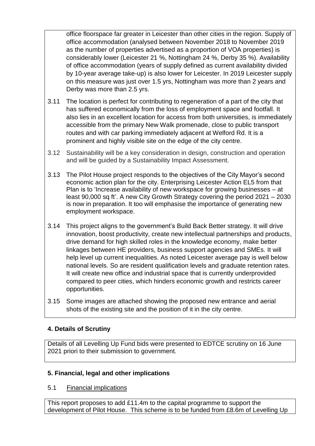office floorspace far greater in Leicester than other cities in the region. Supply of office accommodation (analysed between November 2018 to November 2019 as the number of properties advertised as a proportion of VOA properties) is considerably lower (Leicester 21 %, Nottingham 24 %, Derby 35 %). Availability of office accommodation (years of supply defined as current availability divided by 10-year average take-up) is also lower for Leicester. In 2019 Leicester supply on this measure was just over 1.5 yrs, Nottingham was more than 2 years and Derby was more than 2.5 yrs.

- 3.11 The location is perfect for contributing to regeneration of a part of the city that has suffered economically from the loss of employment space and footfall. It also lies in an excellent location for access from both universities, is immediately accessible from the primary New Walk promenade, close to public transport routes and with car parking immediately adjacent at Welford Rd. It is a prominent and highly visible site on the edge of the city centre.
- 3.12 Sustainability will be a key consideration in design, construction and operation and will be guided by a Sustainability Impact Assessment.
- 3.13 The Pilot House project responds to the objectives of the City Mayor's second economic action plan for the city. Enterprising Leicester Action EL5 from that Plan is to 'Increase availability of new workspace for growing businesses – at least 90,000 sq ft'. A new City Growth Strategy covering the period 2021 – 2030 is now in preparation. It too will emphasise the importance of generating new employment workspace.
- 3.14 This project aligns to the government's Build Back Better strategy. It will drive innovation, boost productivity, create new intellectual partnerships and products, drive demand for high skilled roles in the knowledge economy, make better linkages between HE providers, business support agencies and SMEs. It will help level up current inequalities. As noted Leicester average pay is well below national levels. So are resident qualification levels and graduate retention rates. It will create new office and industrial space that is currently underprovided compared to peer cities, which hinders economic growth and restricts career opportunities.
- 3.15 Some images are attached showing the proposed new entrance and aerial shots of the existing site and the position of it in the city centre.

## **4. Details of Scrutiny**

Details of all Levelling Up Fund bids were presented to EDTCE scrutiny on 16 June 2021 priori to their submission to government.

## **5. Financial, legal and other implications**

## 5.1 Financial implications

This report proposes to add £11.4m to the capital programme to support the development of Pilot House. This scheme is to be funded from £8.6m of Levelling Up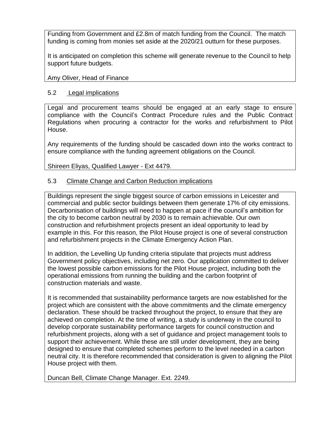Funding from Government and £2.8m of match funding from the Council. The match funding is coming from monies set aside at the 2020/21 outturn for these purposes.

It is anticipated on completion this scheme will generate revenue to the Council to help support future budgets.

Amy Oliver, Head of Finance

#### 5.2 Legal implications

Legal and procurement teams should be engaged at an early stage to ensure compliance with the Council's Contract Procedure rules and the Public Contract Regulations when procuring a contractor for the works and refurbishment to Pilot House.

Any requirements of the funding should be cascaded down into the works contract to ensure compliance with the funding agreement obligations on the Council.

Shireen Eliyas, Qualified Lawyer - Ext 4479.

#### 5.3 Climate Change and Carbon Reduction implications

Buildings represent the single biggest source of carbon emissions in Leicester and commercial and public sector buildings between them generate 17% of city emissions. Decarbonisation of buildings will need to happen at pace if the council's ambition for the city to become carbon neutral by 2030 is to remain achievable. Our own construction and refurbishment projects present an ideal opportunity to lead by example in this. For this reason, the Pilot House project is one of several construction and refurbishment projects in the Climate Emergency Action Plan.

In addition, the Levelling Up funding criteria stipulate that projects must address Government policy objectives, including net zero. Our application committed to deliver the lowest possible carbon emissions for the Pilot House project, including both the operational emissions from running the building and the carbon footprint of construction materials and waste.

It is recommended that sustainability performance targets are now established for the project which are consistent with the above commitments and the climate emergency declaration. These should be tracked throughout the project, to ensure that they are achieved on completion. At the time of writing, a study is underway in the council to develop corporate sustainability performance targets for council construction and refurbishment projects, along with a set of guidance and project management tools to support their achievement. While these are still under development, they are being designed to ensure that completed schemes perform to the level needed in a carbon neutral city. It is therefore recommended that consideration is given to aligning the Pilot House project with them.

Duncan Bell, Climate Change Manager. Ext. 2249.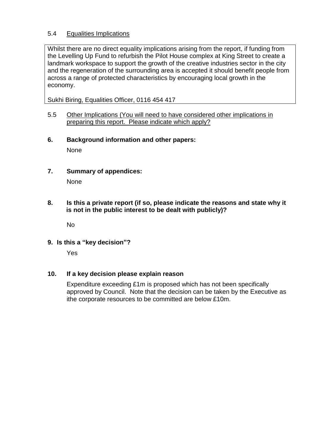#### 5.4 Equalities Implications

Whilst there are no direct equality implications arising from the report, if funding from the Levelling Up Fund to refurbish the Pilot House complex at King Street to create a landmark workspace to support the growth of the creative industries sector in the city and the regeneration of the surrounding area is accepted it should benefit people from across a range of protected characteristics by encouraging local growth in the economy.

Sukhi Biring, Equalities Officer, 0116 454 417

- 5.5 Other Implications (You will need to have considered other implications in preparing this report. Please indicate which apply?
- **6. Background information and other papers:**

**None** 

**7. Summary of appendices:** 

None

**8. Is this a private report (if so, please indicate the reasons and state why it is not in the public interest to be dealt with publicly)?**

No

**9. Is this a "key decision"?**

Yes

#### **10. If a key decision please explain reason**

Expenditure exceeding £1m is proposed which has not been specifically approved by Council. Note that the decision can be taken by the Executive as ithe corporate resources to be committed are below £10m.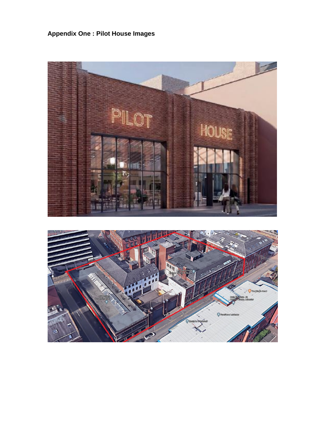**Appendix One : Pilot House Images**